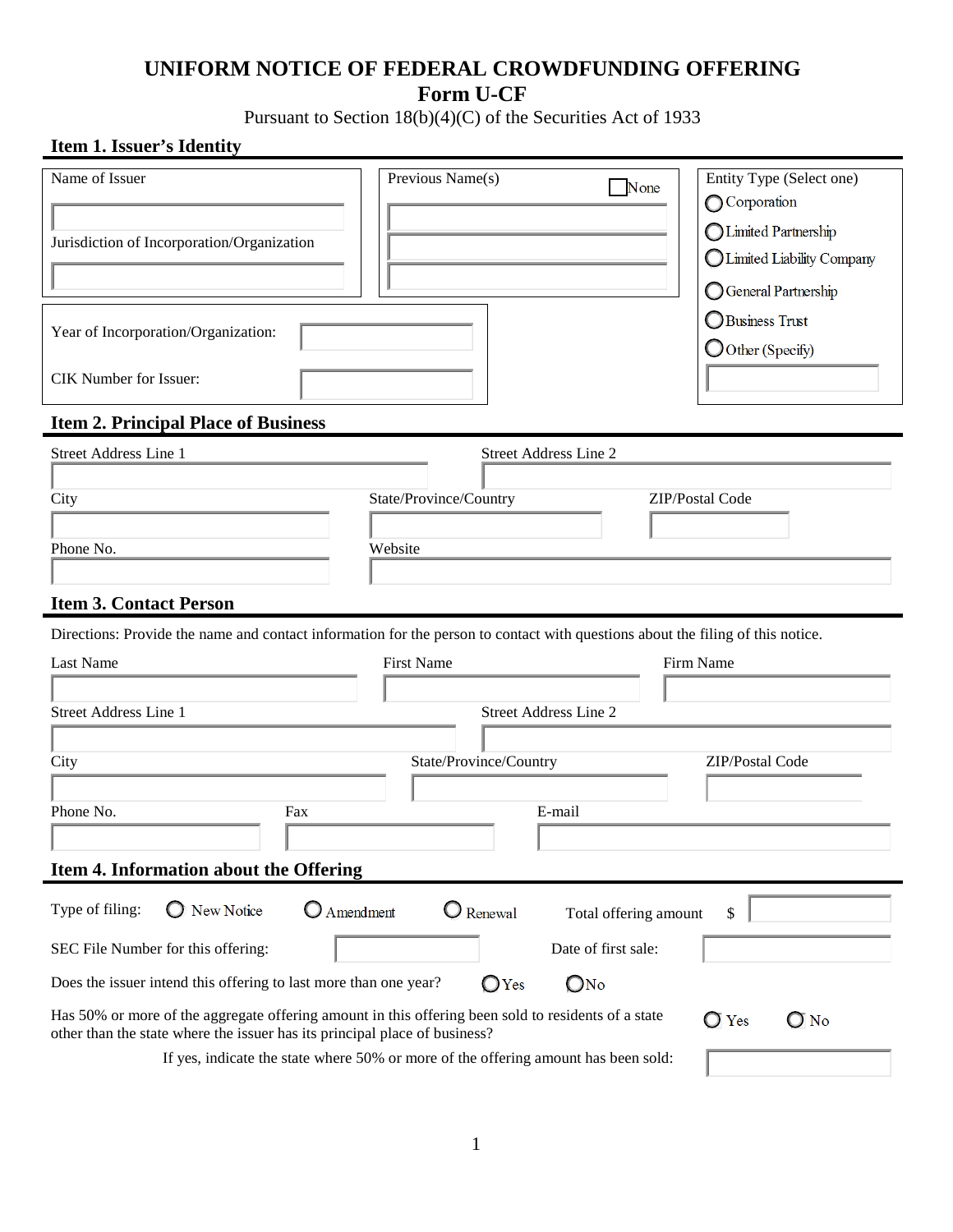## **UNIFORM NOTICE OF FEDERAL CROWDFUNDING OFFERING Form U-CF**

Pursuant to Section 18(b)(4)(C) of the Securities Act of 1933

## **Item 1. Issuer's Identity**

| Name of Issuer                                                                                                                                                                    | Previous Name(s)                                                                   | None                         | Entity Type (Select one)            |  |  |  |
|-----------------------------------------------------------------------------------------------------------------------------------------------------------------------------------|------------------------------------------------------------------------------------|------------------------------|-------------------------------------|--|--|--|
|                                                                                                                                                                                   |                                                                                    |                              | Corporation                         |  |  |  |
| Jurisdiction of Incorporation/Organization                                                                                                                                        |                                                                                    |                              | Limited Partnership                 |  |  |  |
|                                                                                                                                                                                   |                                                                                    |                              | Limited Liability Company           |  |  |  |
|                                                                                                                                                                                   |                                                                                    |                              | <b>General Partnership</b>          |  |  |  |
| Year of Incorporation/Organization:                                                                                                                                               |                                                                                    |                              | Business Trust<br>O Other (Specify) |  |  |  |
| CIK Number for Issuer:                                                                                                                                                            |                                                                                    |                              |                                     |  |  |  |
| <b>Item 2. Principal Place of Business</b>                                                                                                                                        |                                                                                    |                              |                                     |  |  |  |
| <b>Street Address Line 1</b>                                                                                                                                                      |                                                                                    | <b>Street Address Line 2</b> |                                     |  |  |  |
|                                                                                                                                                                                   |                                                                                    |                              |                                     |  |  |  |
| City                                                                                                                                                                              | State/Province/Country                                                             |                              | ZIP/Postal Code                     |  |  |  |
|                                                                                                                                                                                   |                                                                                    |                              |                                     |  |  |  |
| Phone No.                                                                                                                                                                         | Website                                                                            |                              |                                     |  |  |  |
| <b>Item 3. Contact Person</b>                                                                                                                                                     |                                                                                    |                              |                                     |  |  |  |
|                                                                                                                                                                                   |                                                                                    |                              |                                     |  |  |  |
| Directions: Provide the name and contact information for the person to contact with questions about the filing of this notice.<br>Last Name                                       | <b>First Name</b>                                                                  |                              | Firm Name                           |  |  |  |
|                                                                                                                                                                                   |                                                                                    |                              |                                     |  |  |  |
| <b>Street Address Line 1</b>                                                                                                                                                      |                                                                                    | <b>Street Address Line 2</b> |                                     |  |  |  |
|                                                                                                                                                                                   |                                                                                    |                              |                                     |  |  |  |
| City                                                                                                                                                                              | State/Province/Country                                                             |                              | ZIP/Postal Code                     |  |  |  |
|                                                                                                                                                                                   |                                                                                    |                              |                                     |  |  |  |
| Phone No.<br>Fax                                                                                                                                                                  |                                                                                    | E-mail                       |                                     |  |  |  |
|                                                                                                                                                                                   |                                                                                    |                              |                                     |  |  |  |
| Item 4. Information about the Offering                                                                                                                                            |                                                                                    |                              |                                     |  |  |  |
|                                                                                                                                                                                   |                                                                                    |                              |                                     |  |  |  |
| Type of filing:<br>New Notice<br><b>Q</b> Amendment                                                                                                                               | $\bigcirc$ Renewal                                                                 | Total offering amount        | \$                                  |  |  |  |
| SEC File Number for this offering:                                                                                                                                                |                                                                                    | Date of first sale:          |                                     |  |  |  |
| Does the issuer intend this offering to last more than one year?                                                                                                                  | OYes                                                                               | $\mathsf{O}$ No              |                                     |  |  |  |
| Has 50% or more of the aggregate offering amount in this offering been sold to residents of a state<br>other than the state where the issuer has its principal place of business? |                                                                                    |                              | $\bigcirc$ No<br>$\bigcirc$ Yes     |  |  |  |
|                                                                                                                                                                                   | If yes, indicate the state where 50% or more of the offering amount has been sold: |                              |                                     |  |  |  |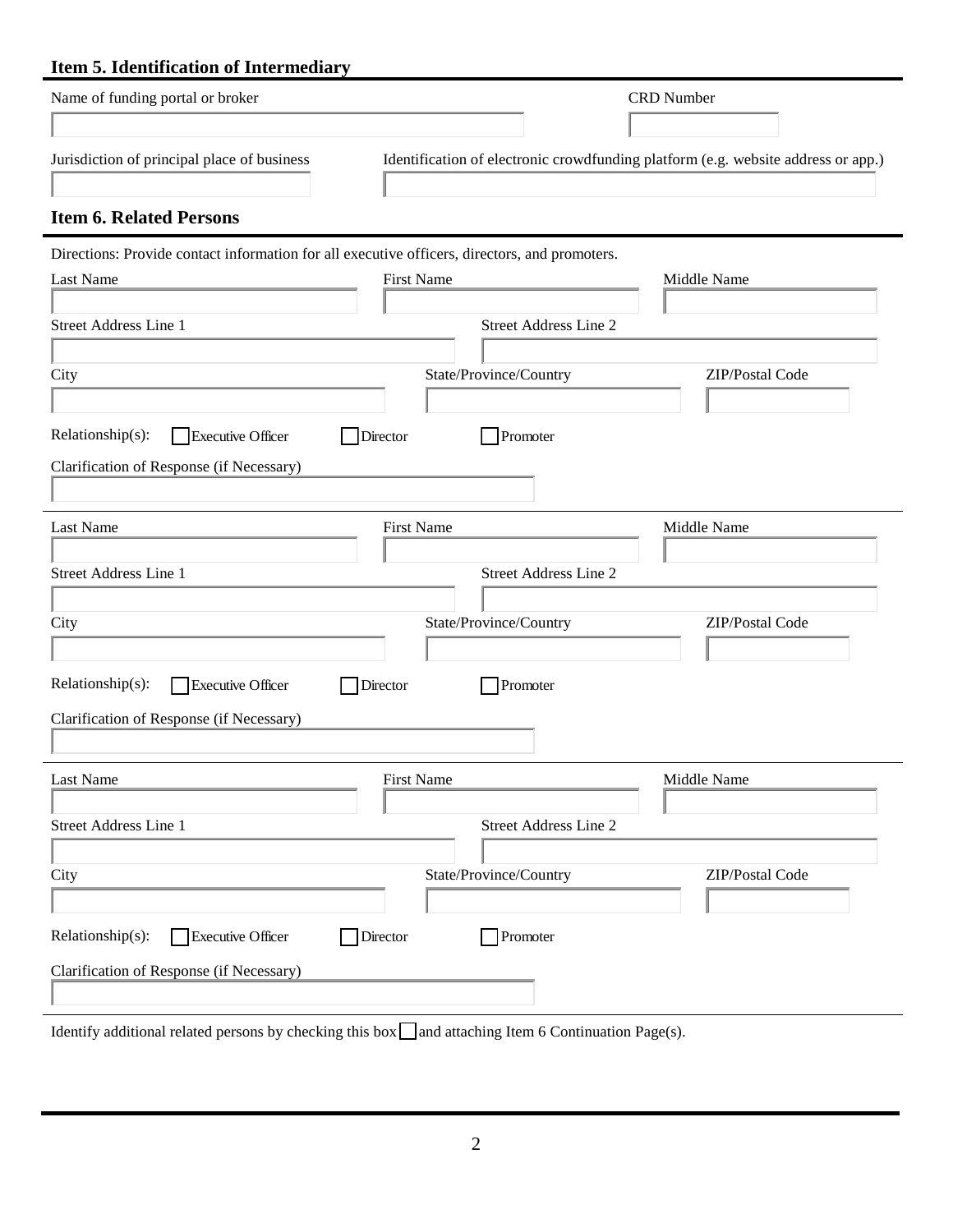# **Item 5. Identification of Intermediary**

| Name of funding portal or broker                                                                           |                              | <b>CRD</b> Number                                                                 |
|------------------------------------------------------------------------------------------------------------|------------------------------|-----------------------------------------------------------------------------------|
|                                                                                                            |                              |                                                                                   |
| Jurisdiction of principal place of business                                                                |                              | Identification of electronic crowdfunding platform (e.g. website address or app.) |
| <b>Item 6. Related Persons</b>                                                                             |                              |                                                                                   |
| Directions: Provide contact information for all executive officers, directors, and promoters.              |                              |                                                                                   |
| <b>Last Name</b>                                                                                           | <b>First Name</b>            | Middle Name                                                                       |
| <b>Street Address Line 1</b>                                                                               | <b>Street Address Line 2</b> |                                                                                   |
|                                                                                                            |                              |                                                                                   |
| City                                                                                                       | State/Province/Country       | ZIP/Postal Code                                                                   |
|                                                                                                            |                              |                                                                                   |
| Relationship(s):<br>Director<br><b>Executive Officer</b>                                                   | Promoter                     |                                                                                   |
| Clarification of Response (if Necessary)                                                                   |                              |                                                                                   |
|                                                                                                            |                              |                                                                                   |
| Last Name                                                                                                  | <b>First Name</b>            | Middle Name                                                                       |
| <b>Street Address Line 1</b>                                                                               | <b>Street Address Line 2</b> |                                                                                   |
|                                                                                                            |                              |                                                                                   |
| City                                                                                                       | State/Province/Country       | ZIP/Postal Code                                                                   |
|                                                                                                            |                              |                                                                                   |
| Relationship(s):<br><b>Executive Officer</b><br>Director                                                   | Promoter                     |                                                                                   |
| Clarification of Response (if Necessary)                                                                   |                              |                                                                                   |
|                                                                                                            |                              |                                                                                   |
| Last Name                                                                                                  | <b>First Name</b>            | Middle Name                                                                       |
| Street Address Line 1                                                                                      | Street Address Line 2        |                                                                                   |
|                                                                                                            |                              |                                                                                   |
| City                                                                                                       | State/Province/Country       | ZIP/Postal Code                                                                   |
|                                                                                                            |                              |                                                                                   |
| Relationship(s):<br>Executive Officer<br>Director                                                          | Promoter                     |                                                                                   |
| Clarification of Response (if Necessary)                                                                   |                              |                                                                                   |
|                                                                                                            |                              |                                                                                   |
| Identify additional related persons by checking this box $\Box$ and attaching Item 6 Continuation Page(s). |                              |                                                                                   |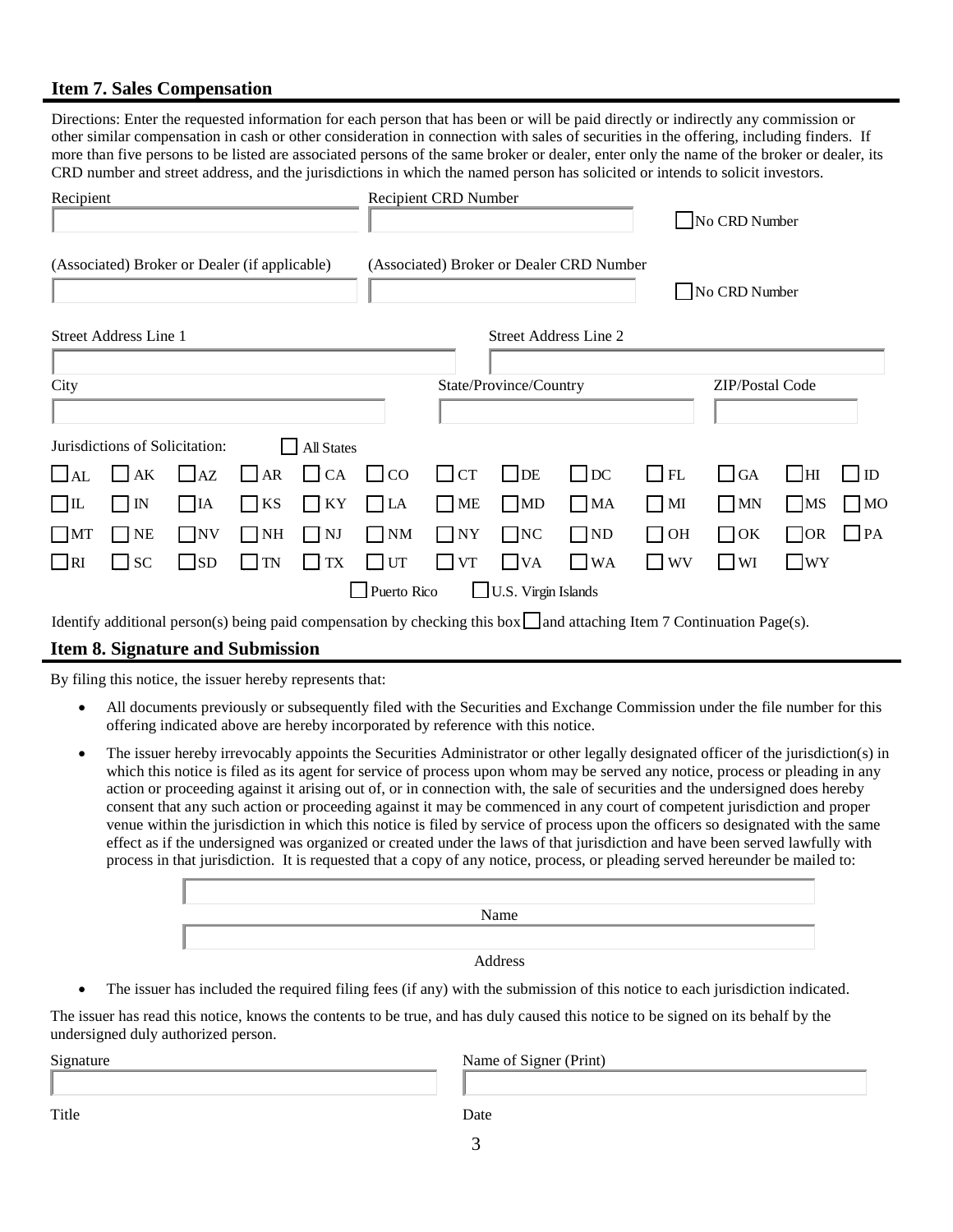#### **Item 7. Sales Compensation**

Directions: Enter the requested information for each person that has been or will be paid directly or indirectly any commission or other similar compensation in cash or other consideration in connection with sales of securities in the offering, including finders. If more than five persons to be listed are associated persons of the same broker or dealer, enter only the name of the broker or dealer, its CRD number and street address, and the jurisdictions in which the named person has solicited or intends to solicit investors.

| Recipient                                           |           | <b>Recipient CRD Number</b> |           |            |                                          | No CRD Number      |                             |                           |                        |           |                   |              |
|-----------------------------------------------------|-----------|-----------------------------|-----------|------------|------------------------------------------|--------------------|-----------------------------|---------------------------|------------------------|-----------|-------------------|--------------|
| (Associated) Broker or Dealer (if applicable)       |           |                             |           |            | (Associated) Broker or Dealer CRD Number |                    |                             |                           | No CRD Number          |           |                   |              |
| Street Address Line 2<br>Street Address Line 1      |           |                             |           |            |                                          |                    |                             |                           |                        |           |                   |              |
| City                                                |           |                             |           |            | State/Province/Country                   |                    |                             |                           | <b>ZIP/Postal Code</b> |           |                   |              |
| Jurisdictions of Solicitation:<br><b>All States</b> |           |                             |           |            |                                          |                    |                             |                           |                        |           |                   |              |
| $\Box$ AL                                           | $\Box$ AK | AZ<br>$\mathsf{L}$          | AR        | $\Box$ CA  | CO<br>$\blacksquare$                     | CT<br>$\mathbf{1}$ | $\Box$ DE                   | $\Box$ DC                 | $\Box$ FL              | $\Box$ GA | l IHI             | $\mathbb{D}$ |
| $\Box$                                              | $\Box$ IN | $\Box$ IA                   | $\Box$ KS | $\prod$ KY | $\prod$ LA                               | П<br>ME            | $\Box$ MD                   | $\Box$ MA                 | $\Box$ MI              | $\Box$ MN | $\blacksquare$ MS | $\Box$ MO    |
| $\Box$ MT                                           | $\Box$ NE | $\Box$ NV                   | $\Box$ NH | $\Box$ NJ  | $\neg$ NM                                | $\Box$ NY          | $\Box$ NC                   | $\Box$ ND                 | $\Box$ OH              | $\Box$ OK | $\bigcap$ OR      | PA           |
| $\Box$ RI                                           | $\Box$ SC | <b>SD</b>                   | $\Box$ TN | $\Box$ TX  | UT                                       | <b>VT</b>          | $\overline{\phantom{a}}$ VA | <b>WA</b><br>$\mathsf{L}$ | $\Box$ WV              | $\Box$ WI | $\Box$ WY         |              |
| U.S. Virgin Islands<br>Puerto Rico<br>—             |           |                             |           |            |                                          |                    |                             |                           |                        |           |                   |              |

Identify additional person(s) being paid compensation by checking this box  $\Box$  and attaching Item 7 Continuation Page(s).

#### **Item 8. Signature and Submission**

By filing this notice, the issuer hereby represents that:

- All documents previously or subsequently filed with the Securities and Exchange Commission under the file number for this offering indicated above are hereby incorporated by reference with this notice.
- The issuer hereby irrevocably appoints the Securities Administrator or other legally designated officer of the jurisdiction(s) in which this notice is filed as its agent for service of process upon whom may be served any notice, process or pleading in any action or proceeding against it arising out of, or in connection with, the sale of securities and the undersigned does hereby consent that any such action or proceeding against it may be commenced in any court of competent jurisdiction and proper venue within the jurisdiction in which this notice is filed by service of process upon the officers so designated with the same effect as if the undersigned was organized or created under the laws of that jurisdiction and have been served lawfully with process in that jurisdiction. It is requested that a copy of any notice, process, or pleading served hereunder be mailed to:

Name Address

• The issuer has included the required filing fees (if any) with the submission of this notice to each jurisdiction indicated.

The issuer has read this notice, knows the contents to be true, and has duly caused this notice to be signed on its behalf by the undersigned duly authorized person.

| Signature | Name of Signer (Print) |
|-----------|------------------------|
|           |                        |
| Title     | Date                   |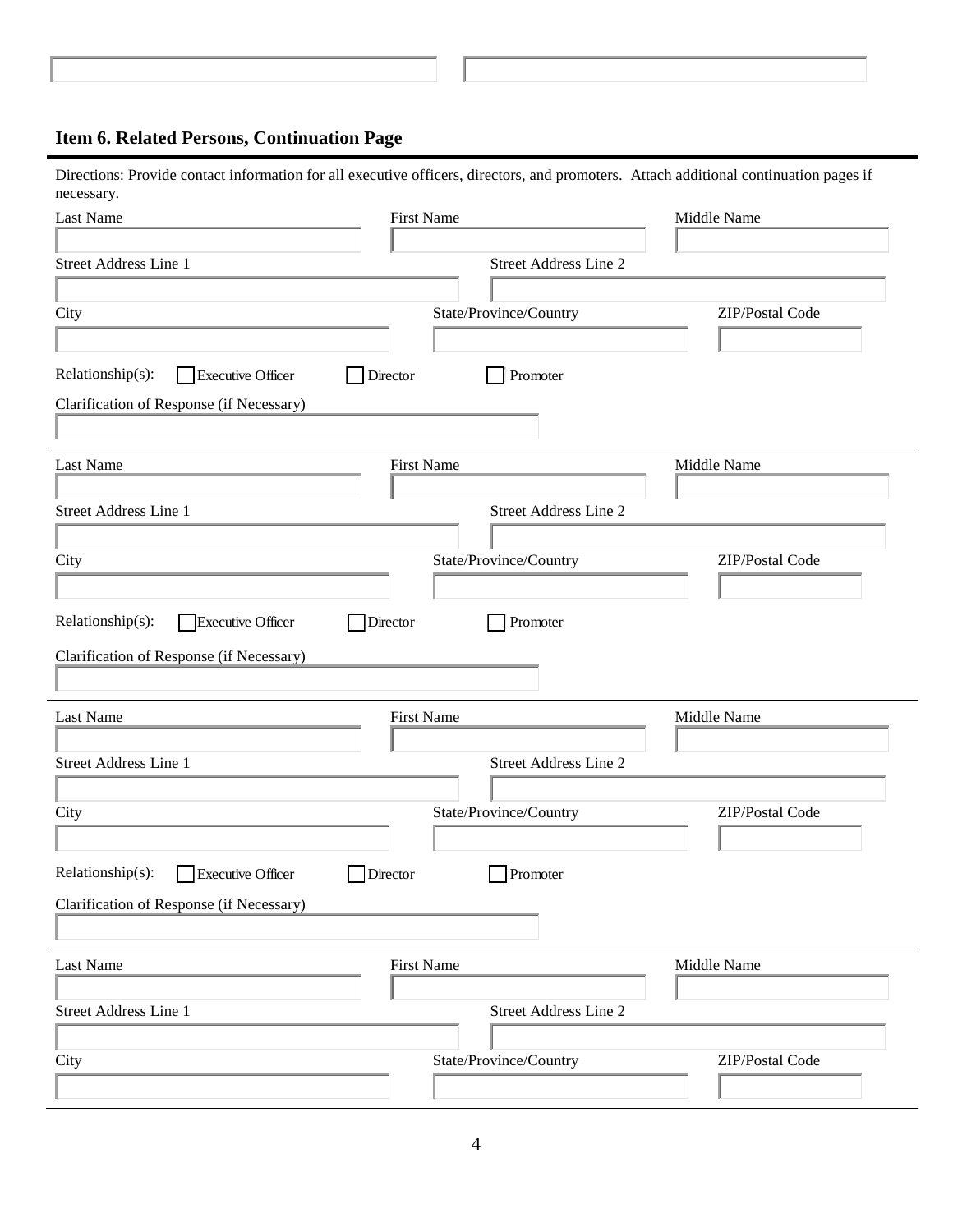## **Item 6. Related Persons, Continuation Page**

Directions: Provide contact information for all executive officers, directors, and promoters. Attach additional continuation pages if necessary.

| Last Name                                    | <b>First Name</b>            | Middle Name            |  |  |
|----------------------------------------------|------------------------------|------------------------|--|--|
| <b>Street Address Line 1</b>                 | <b>Street Address Line 2</b> |                        |  |  |
| City                                         | State/Province/Country       | <b>ZIP/Postal Code</b> |  |  |
|                                              |                              |                        |  |  |
| Relationship(s):<br>Executive Officer        | Director<br>Promoter         |                        |  |  |
| Clarification of Response (if Necessary)     |                              |                        |  |  |
| Last Name                                    | <b>First Name</b>            | Middle Name            |  |  |
|                                              |                              |                        |  |  |
| Street Address Line 1                        | <b>Street Address Line 2</b> |                        |  |  |
|                                              |                              |                        |  |  |
| City                                         | State/Province/Country       | ZIP/Postal Code        |  |  |
|                                              |                              |                        |  |  |
| Relationship(s):<br>Executive Officer        | Director<br>Promoter         |                        |  |  |
| Clarification of Response (if Necessary)     |                              |                        |  |  |
|                                              |                              |                        |  |  |
|                                              |                              |                        |  |  |
| Last Name                                    | <b>First Name</b>            | Middle Name            |  |  |
|                                              |                              |                        |  |  |
| Street Address Line 1                        | <b>Street Address Line 2</b> |                        |  |  |
|                                              |                              |                        |  |  |
| City                                         | State/Province/Country       | ZIP/Postal Code        |  |  |
|                                              |                              |                        |  |  |
| Relationship(s):<br><b>Executive Officer</b> | Director<br>Promoter         |                        |  |  |
| Clarification of Response (if Necessary)     |                              |                        |  |  |
|                                              |                              |                        |  |  |
| Last Name                                    | <b>First Name</b>            | Middle Name            |  |  |
|                                              |                              |                        |  |  |
| Street Address Line 1                        | Street Address Line 2        |                        |  |  |
| City                                         | State/Province/Country       | ZIP/Postal Code        |  |  |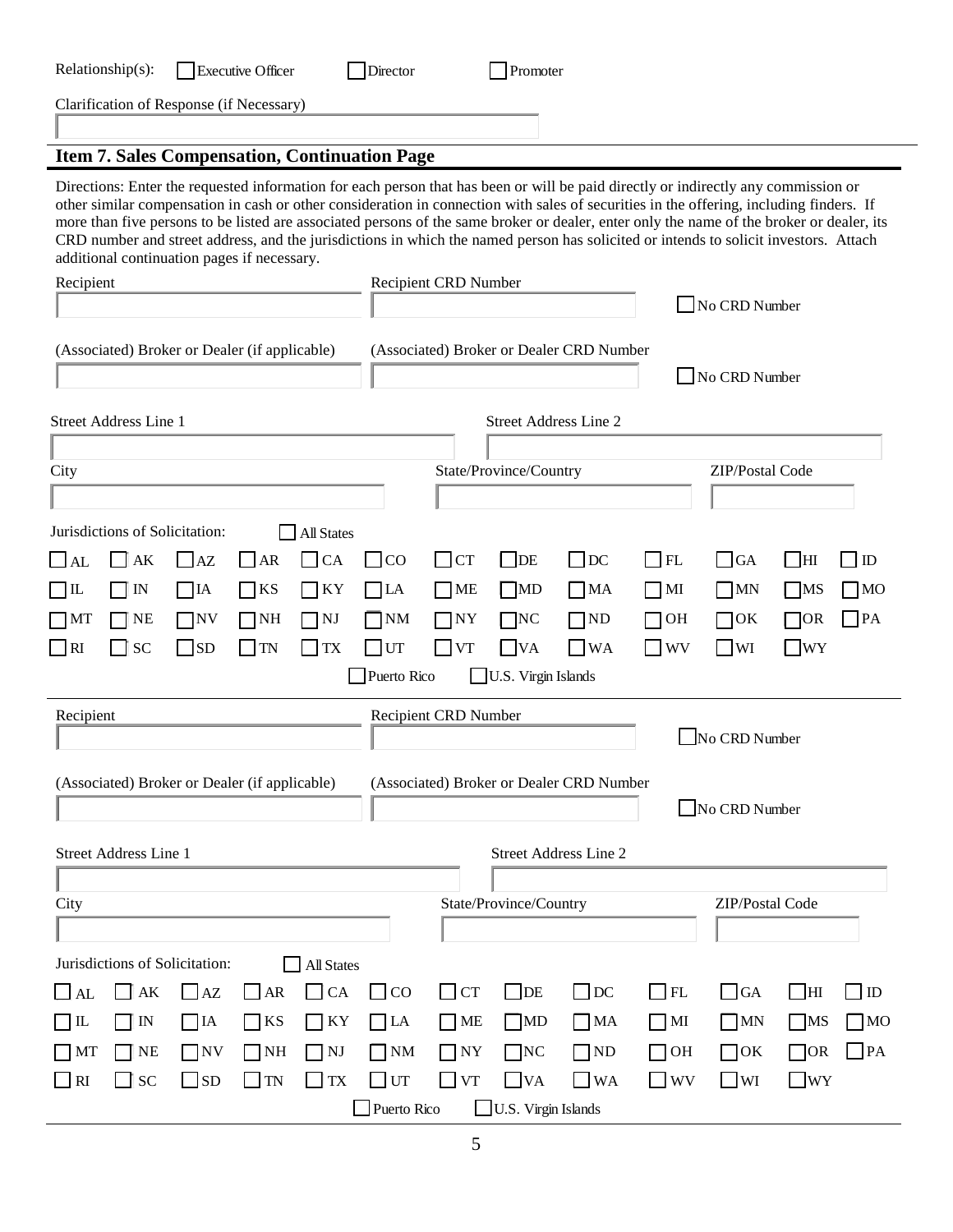| Relationship(s):<br>Director<br><b>Executive Officer</b><br>Promoter                                                                                                                                                                                                                                                                                                                                                                                                                                                                                                                                                                                                      |                                                        |                                          |                  |                                                                       |  |  |  |  |
|---------------------------------------------------------------------------------------------------------------------------------------------------------------------------------------------------------------------------------------------------------------------------------------------------------------------------------------------------------------------------------------------------------------------------------------------------------------------------------------------------------------------------------------------------------------------------------------------------------------------------------------------------------------------------|--------------------------------------------------------|------------------------------------------|------------------|-----------------------------------------------------------------------|--|--|--|--|
| Clarification of Response (if Necessary)                                                                                                                                                                                                                                                                                                                                                                                                                                                                                                                                                                                                                                  |                                                        |                                          |                  |                                                                       |  |  |  |  |
|                                                                                                                                                                                                                                                                                                                                                                                                                                                                                                                                                                                                                                                                           |                                                        |                                          |                  |                                                                       |  |  |  |  |
| <b>Item 7. Sales Compensation, Continuation Page</b><br>Directions: Enter the requested information for each person that has been or will be paid directly or indirectly any commission or<br>other similar compensation in cash or other consideration in connection with sales of securities in the offering, including finders. If<br>more than five persons to be listed are associated persons of the same broker or dealer, enter only the name of the broker or dealer, its<br>CRD number and street address, and the jurisdictions in which the named person has solicited or intends to solicit investors. Attach<br>additional continuation pages if necessary. |                                                        |                                          |                  |                                                                       |  |  |  |  |
| Recipient                                                                                                                                                                                                                                                                                                                                                                                                                                                                                                                                                                                                                                                                 | <b>Recipient CRD Number</b><br>No CRD Number           |                                          |                  |                                                                       |  |  |  |  |
|                                                                                                                                                                                                                                                                                                                                                                                                                                                                                                                                                                                                                                                                           |                                                        |                                          |                  |                                                                       |  |  |  |  |
| (Associated) Broker or Dealer (if applicable)                                                                                                                                                                                                                                                                                                                                                                                                                                                                                                                                                                                                                             |                                                        | (Associated) Broker or Dealer CRD Number |                  |                                                                       |  |  |  |  |
|                                                                                                                                                                                                                                                                                                                                                                                                                                                                                                                                                                                                                                                                           |                                                        |                                          |                  | No CRD Number                                                         |  |  |  |  |
| <b>Street Address Line 1</b>                                                                                                                                                                                                                                                                                                                                                                                                                                                                                                                                                                                                                                              |                                                        | <b>Street Address Line 2</b>             |                  |                                                                       |  |  |  |  |
| City                                                                                                                                                                                                                                                                                                                                                                                                                                                                                                                                                                                                                                                                      |                                                        | State/Province/Country                   |                  | ZIP/Postal Code                                                       |  |  |  |  |
|                                                                                                                                                                                                                                                                                                                                                                                                                                                                                                                                                                                                                                                                           |                                                        |                                          |                  |                                                                       |  |  |  |  |
| Jurisdictions of Solicitation:<br>All States                                                                                                                                                                                                                                                                                                                                                                                                                                                                                                                                                                                                                              |                                                        |                                          |                  |                                                                       |  |  |  |  |
| CA<br>AK<br>AR<br>AZ<br>$\Box$ AL<br>$\neg$ KS<br><b>KY</b><br>$\Box$ IT<br>7IA<br>IN                                                                                                                                                                                                                                                                                                                                                                                                                                                                                                                                                                                     | $\overline{\text{C}}$<br><b>CT</b><br><b>ME</b><br> LA | $\Box$ DC<br>$\Box$ DE<br>  MD<br>  MA   | FL<br>$\vert$ MI | G A<br>$\Box$<br>$\overline{\mathbf{H}}$<br>7MS<br>$7^{\rm MO}$<br> M |  |  |  |  |
| <b>NE</b><br>$7$ NH<br>$\neg M$<br>∏NV<br>$\neg$ NJ                                                                                                                                                                                                                                                                                                                                                                                                                                                                                                                                                                                                                       | <b>NM</b><br>NY <sub></sub>                            | $\neg$ NC<br>$\neg$ ND                   | OH               | $\blacksquare$ PA<br>70R<br>70K                                       |  |  |  |  |
| $\Box$ RI<br><b>SC</b><br>$\Box$ SD<br>$\Box$ TN<br><b>TX</b>                                                                                                                                                                                                                                                                                                                                                                                                                                                                                                                                                                                                             | UT<br><b>VT</b>                                        | $\blacksquare$ WA<br><b>VA</b>           | $\vert$ WV       | <b>WY</b><br><b>WI</b>                                                |  |  |  |  |
|                                                                                                                                                                                                                                                                                                                                                                                                                                                                                                                                                                                                                                                                           | Puerto Rico                                            | U.S. Virgin Islands                      |                  |                                                                       |  |  |  |  |
| Recipient                                                                                                                                                                                                                                                                                                                                                                                                                                                                                                                                                                                                                                                                 | <b>Recipient CRD Number</b>                            |                                          |                  |                                                                       |  |  |  |  |
|                                                                                                                                                                                                                                                                                                                                                                                                                                                                                                                                                                                                                                                                           |                                                        |                                          |                  | No CRD Number                                                         |  |  |  |  |
| (Associated) Broker or Dealer CRD Number<br>(Associated) Broker or Dealer (if applicable)                                                                                                                                                                                                                                                                                                                                                                                                                                                                                                                                                                                 |                                                        |                                          |                  |                                                                       |  |  |  |  |
| No CRD Number                                                                                                                                                                                                                                                                                                                                                                                                                                                                                                                                                                                                                                                             |                                                        |                                          |                  |                                                                       |  |  |  |  |
| Street Address Line 1<br>Street Address Line 2                                                                                                                                                                                                                                                                                                                                                                                                                                                                                                                                                                                                                            |                                                        |                                          |                  |                                                                       |  |  |  |  |
| City                                                                                                                                                                                                                                                                                                                                                                                                                                                                                                                                                                                                                                                                      | State/Province/Country                                 |                                          |                  |                                                                       |  |  |  |  |
|                                                                                                                                                                                                                                                                                                                                                                                                                                                                                                                                                                                                                                                                           |                                                        |                                          |                  | ZIP/Postal Code                                                       |  |  |  |  |
| Jurisdictions of Solicitation:<br><b>All States</b>                                                                                                                                                                                                                                                                                                                                                                                                                                                                                                                                                                                                                       |                                                        |                                          |                  |                                                                       |  |  |  |  |
| $\Box$ CA<br>$\Box$ AK<br>$\Box$ AZ<br>$\Box$ AR<br>$\Box$ AL                                                                                                                                                                                                                                                                                                                                                                                                                                                                                                                                                                                                             | $\Box$ CO<br>$\Box$ CT                                 | $\Box$ DE<br>$\Box$ DC                   | $\Box$ FL        | $\Box$ GA<br>$\Box$ HI<br>$\Box$ ID                                   |  |  |  |  |
| $\neg$ KY<br>$\top$ IN<br>$\Box$ KS<br>$\exists$ IL<br>$\overline{A}$                                                                                                                                                                                                                                                                                                                                                                                                                                                                                                                                                                                                     | $\bigcap$ LA<br>$M_{\rm E}$                            | $\Box$ MD<br>$\Box$ MA                   | $\neg$ MI        | $\square$ MN<br>$\neg$ MS<br>$\square$ MO                             |  |  |  |  |
| $\Box$ Ne<br>$\Box$ NJ<br>$\Box$ NV<br>$\Box$ NH<br>$\vert$ MT                                                                                                                                                                                                                                                                                                                                                                                                                                                                                                                                                                                                            | $\neg$ NM<br>$\Box$ NY                                 | $\Box$ NC<br>$\Box$ ND                   | $\Box$ OH        | $\Box$ PA<br>$\Box$ OR<br>$\bigcap$ OK                                |  |  |  |  |
| $\Box$ SC<br>$\Box$ TN<br>$\Box$ TX<br>$\Box$ RI<br>$\Box$ SD                                                                                                                                                                                                                                                                                                                                                                                                                                                                                                                                                                                                             | $\Box$ UT<br>$\Box$ VT                                 | $\Box$ VA<br>$\Box$ WA                   | $\square$ wv     | $\Box$ WY<br>$\Box$ WI                                                |  |  |  |  |
| Puerto Rico<br>U.S. Virgin Islands                                                                                                                                                                                                                                                                                                                                                                                                                                                                                                                                                                                                                                        |                                                        |                                          |                  |                                                                       |  |  |  |  |